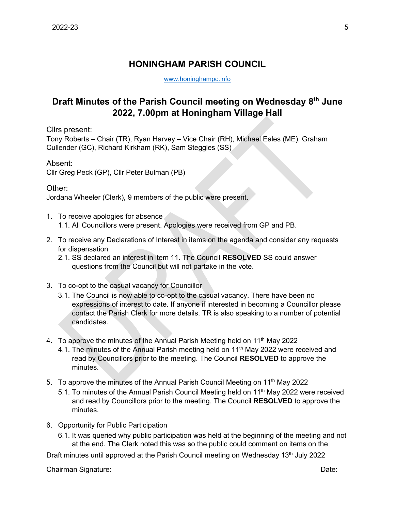## **HONINGHAM PARISH COUNCIL**

[www.honinghampc.info](http://www.honinghampc.info/)

## **Draft Minutes of the Parish Council meeting on Wednesday 8 th June 2022, 7.00pm at Honingham Village Hall**

Cllrs present:

Tony Roberts – Chair (TR), Ryan Harvey – Vice Chair (RH), Michael Eales (ME), Graham Cullender (GC), Richard Kirkham (RK), Sam Steggles (SS)

## Absent:

Cllr Greg Peck (GP), Cllr Peter Bulman (PB)

## Other:

Jordana Wheeler (Clerk), 9 members of the public were present.

- 1. To receive apologies for absence 1.1. All Councillors were present. Apologies were received from GP and PB.
- 2. To receive any Declarations of Interest in items on the agenda and consider any requests for dispensation
	- 2.1. SS declared an interest in item 11. The Council **RESOLVED** SS could answer questions from the Council but will not partake in the vote.
- 3. To co-opt to the casual vacancy for Councillor
	- 3.1. The Council is now able to co-opt to the casual vacancy. There have been no expressions of interest to date. If anyone if interested in becoming a Councillor please contact the Parish Clerk for more details. TR is also speaking to a number of potential candidates.
- 4. To approve the minutes of the Annual Parish Meeting held on 11<sup>th</sup> May 2022
	- 4.1. The minutes of the Annual Parish meeting held on 11<sup>th</sup> May 2022 were received and read by Councillors prior to the meeting. The Council **RESOLVED** to approve the minutes.
- 5. To approve the minutes of the Annual Parish Council Meeting on 11<sup>th</sup> May 2022
	- 5.1. To minutes of the Annual Parish Council Meeting held on 11<sup>th</sup> May 2022 were received and read by Councillors prior to the meeting. The Council **RESOLVED** to approve the minutes.
- 6. Opportunity for Public Participation
	- 6.1. It was queried why public participation was held at the beginning of the meeting and not at the end. The Clerk noted this was so the public could comment on items on the

Draft minutes until approved at the Parish Council meeting on Wednesday 13<sup>th</sup> July 2022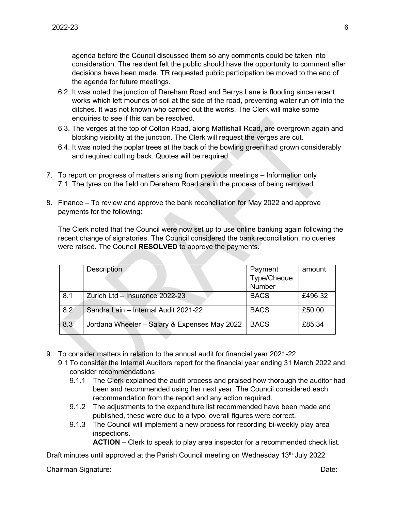agenda before the Council discussed them so any comments could be taken into consideration. The resident felt the public should have the opportunity to comment after decisions have been made. TR requested public participation be moved to the end of the agenda for future meetings.

- 6.2. It was noted the junction of Dereham Road and Berrys Lane is flooding since recent works which left mounds of soil at the side of the road, preventing water run off into the ditches. It was not known who carried out the works. The Clerk will make some enquiries to see if this can be resolved.
- 6.3. The verges at the top of Colton Road, along Mattishall Road, are overgrown again and blocking visibility at the junction. The Clerk will request the verges are cut.
- 6.4. It was noted the poplar trees at the back of the bowling green had grown considerably and required cutting back. Quotes will be required.
- 7. To report on progress of matters arising from previous meetings Information only 7.1. The tyres on the field on Dereham Road are in the process of being removed.
- 8. Finance To review and approve the bank reconciliation for May 2022 and approve payments for the following:

The Clerk noted that the Council were now set up to use online banking again following the recent change of signatories. The Council considered the bank reconciliation, no queries were raised. The Council **RESOLVED** to approve the payments.

|     | <b>Description</b>                           | Payment     | amount  |
|-----|----------------------------------------------|-------------|---------|
|     |                                              | Type/Cheque |         |
|     |                                              | Number      |         |
| 8.1 | Zurich Ltd - Insurance 2022-23               | <b>BACS</b> | £496.32 |
| 8.2 | Sandra Lain - Internal Audit 2021-22         | <b>BACS</b> | £50.00  |
| 8.3 | Jordana Wheeler - Salary & Expenses May 2022 | <b>BACS</b> | £85.34  |

- 9. To consider matters in relation to the annual audit for financial year 2021-22
	- 9.1 To consider the Internal Auditors report for the financial year ending 31 March 2022 and consider recommendations
		- 9.1.1 The Clerk explained the audit process and praised how thorough the auditor had been and recommended using her next year. The Council considered each recommendation from the report and any action required.
		- 9.1.2 The adjustments to the expenditure list recommended have been made and published, these were due to a typo, overall figures were correct.
		- 9.1.3 The Council will implement a new process for recording bi-weekly play area inspections.

**ACTION** – Clerk to speak to play area inspector for a recommended check list.

Draft minutes until approved at the Parish Council meeting on Wednesday 13<sup>th</sup> July 2022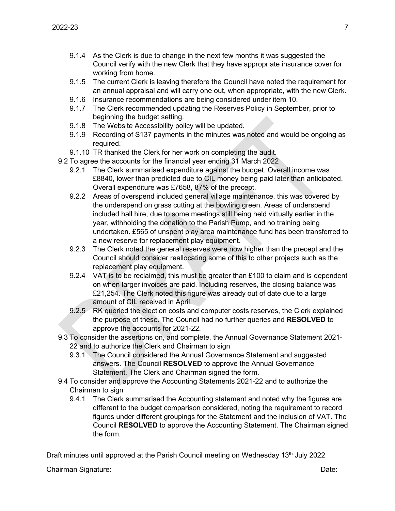- 9.1.4 As the Clerk is due to change in the next few months it was suggested the Council verify with the new Clerk that they have appropriate insurance cover for working from home.
- 9.1.5 The current Clerk is leaving therefore the Council have noted the requirement for an annual appraisal and will carry one out, when appropriate, with the new Clerk.
- 9.1.6 Insurance recommendations are being considered under item 10.
- 9.1.7 The Clerk recommended updating the Reserves Policy in September, prior to beginning the budget setting.
- 9.1.8 The Website Accessibility policy will be updated.
- 9.1.9 Recording of S137 payments in the minutes was noted and would be ongoing as required.
- 9.1.10 TR thanked the Clerk for her work on completing the audit.
- 9.2 To agree the accounts for the financial year ending 31 March 2022
	- 9.2.1 The Clerk summarised expenditure against the budget. Overall income was £8840, lower than predicted due to CIL money being paid later than anticipated. Overall expenditure was £7658, 87% of the precept.
	- 9.2.2 Areas of overspend included general village maintenance, this was covered by the underspend on grass cutting at the bowling green. Areas of underspend included hall hire, due to some meetings still being held virtually earlier in the year, withholding the donation to the Parish Pump, and no training being undertaken. £565 of unspent play area maintenance fund has been transferred to a new reserve for replacement play equipment.
	- 9.2.3 The Clerk noted the general reserves were now higher than the precept and the Council should consider reallocating some of this to other projects such as the replacement play equipment.
	- 9.2.4 VAT is to be reclaimed, this must be greater than  $£100$  to claim and is dependent on when larger invoices are paid. Including reserves, the closing balance was £21,254. The Clerk noted this figure was already out of date due to a large amount of CIL received in April.
	- 9.2.5 RK queried the election costs and computer costs reserves, the Clerk explained the purpose of these. The Council had no further queries and **RESOLVED** to approve the accounts for 2021-22.
- 9.3 To consider the assertions on, and complete, the Annual Governance Statement 2021- 22 and to authorize the Clerk and Chairman to sign
	- 9.3.1 The Council considered the Annual Governance Statement and suggested answers. The Council **RESOLVED** to approve the Annual Governance Statement. The Clerk and Chairman signed the form.
- 9.4 To consider and approve the Accounting Statements 2021-22 and to authorize the Chairman to sign
	- 9.4.1 The Clerk summarised the Accounting statement and noted why the figures are different to the budget comparison considered, noting the requirement to record figures under different groupings for the Statement and the inclusion of VAT. The Council **RESOLVED** to approve the Accounting Statement. The Chairman signed the form.

Draft minutes until approved at the Parish Council meeting on Wednesday 13<sup>th</sup> July 2022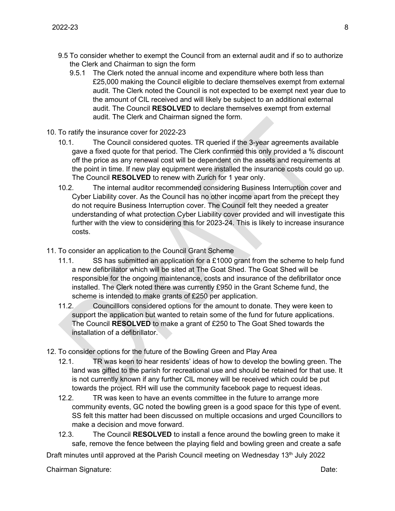- 9.5 To consider whether to exempt the Council from an external audit and if so to authorize the Clerk and Chairman to sign the form
	- 9.5.1 The Clerk noted the annual income and expenditure where both less than £25,000 making the Council eligible to declare themselves exempt from external audit. The Clerk noted the Council is not expected to be exempt next year due to the amount of CIL received and will likely be subject to an additional external audit. The Council **RESOLVED** to declare themselves exempt from external audit. The Clerk and Chairman signed the form.
- 10. To ratify the insurance cover for 2022-23
	- 10.1. The Council considered quotes. TR queried if the 3-year agreements available gave a fixed quote for that period. The Clerk confirmed this only provided a % discount off the price as any renewal cost will be dependent on the assets and requirements at the point in time. If new play equipment were installed the insurance costs could go up. The Council **RESOLVED** to renew with Zurich for 1 year only.
	- 10.2. The internal auditor recommended considering Business Interruption cover and Cyber Liability cover. As the Council has no other income apart from the precept they do not require Business Interruption cover. The Council felt they needed a greater understanding of what protection Cyber Liability cover provided and will investigate this further with the view to considering this for 2023-24. This is likely to increase insurance costs.
- 11. To consider an application to the Council Grant Scheme
	- 11.1. SS has submitted an application for a £1000 grant from the scheme to help fund a new defibrillator which will be sited at The Goat Shed. The Goat Shed will be responsible for the ongoing maintenance, costs and insurance of the defibrillator once installed. The Clerk noted there was currently £950 in the Grant Scheme fund, the scheme is intended to make grants of £250 per application.
	- 11.2. Councilllors considered options for the amount to donate. They were keen to support the application but wanted to retain some of the fund for future applications. The Council **RESOLVED** to make a grant of £250 to The Goat Shed towards the installation of a defibrillator.
- 12. To consider options for the future of the Bowling Green and Play Area
	- 12.1. TR was keen to hear residents' ideas of how to develop the bowling green. The land was gifted to the parish for recreational use and should be retained for that use. It is not currently known if any further CIL money will be received which could be put towards the project. RH will use the community facebook page to request ideas.
	- 12.2. TR was keen to have an events committee in the future to arrange more community events, GC noted the bowling green is a good space for this type of event. SS felt this matter had been discussed on multiple occasions and urged Councillors to make a decision and move forward.
	- 12.3. The Council **RESOLVED** to install a fence around the bowling green to make it safe, remove the fence between the playing field and bowling green and create a safe

Draft minutes until approved at the Parish Council meeting on Wednesday 13<sup>th</sup> July 2022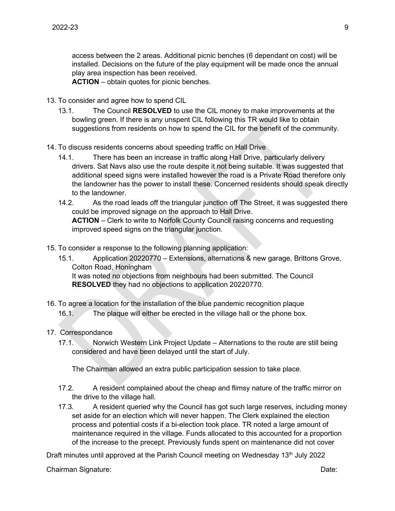access between the 2 areas. Additional picnic benches (6 dependant on cost) will be installed. Decisions on the future of the play equipment will be made once the annual play area inspection has been received.

**ACTION** – obtain quotes for picnic benches.

- 13. To consider and agree how to spend CIL
	- 13.1. The Council **RESOLVED** to use the CIL money to make improvements at the bowling green. If there is any unspent CIL following this TR would like to obtain suggestions from residents on how to spend the CIL for the benefit of the community.
- 14. To discuss residents concerns about speeding traffic on Hall Drive
	- 14.1. There has been an increase in traffic along Hall Drive, particularly delivery drivers. Sat Navs also use the route despite it not being suitable. It was suggested that additional speed signs were installed however the road is a Private Road therefore only the landowner has the power to install these. Concerned residents should speak directly to the landowner.
	- 14.2. As the road leads off the triangular junction off The Street, it was suggested there could be improved signage on the approach to Hall Drive. **ACTION** – Clerk to write to Norfolk County Council raising concerns and requesting improved speed signs on the triangular junction.
- 15. To consider a response to the following planning application:
	- 15.1. Application 20220770 Extensions, alternations & new garage, Brittons Grove, Colton Road, Honingham It was noted no objections from neighbours had been submitted. The Council **RESOLVED** they had no objections to application 20220770.
- 16. To agree a location for the installation of the blue pandemic recognition plaque 16.1. The plaque will either be erected in the village hall or the phone box.
- 17. Correspondance
	- 17.1. Norwich Western Link Project Update Alternations to the route are still being considered and have been delayed until the start of July.

The Chairman allowed an extra public participation session to take place.

- 17.2. A resident complained about the cheap and flimsy nature of the traffic mirror on the drive to the village hall.
- 17.3. A resident queried why the Council has got such large reserves, including money set aside for an election which will never happen. The Clerk explained the election process and potential costs if a bi-election took place. TR noted a large amount of maintenance required in the village. Funds allocated to this accounted for a proportion of the increase to the precept. Previously funds spent on maintenance did not cover

Draft minutes until approved at the Parish Council meeting on Wednesday 13<sup>th</sup> July 2022